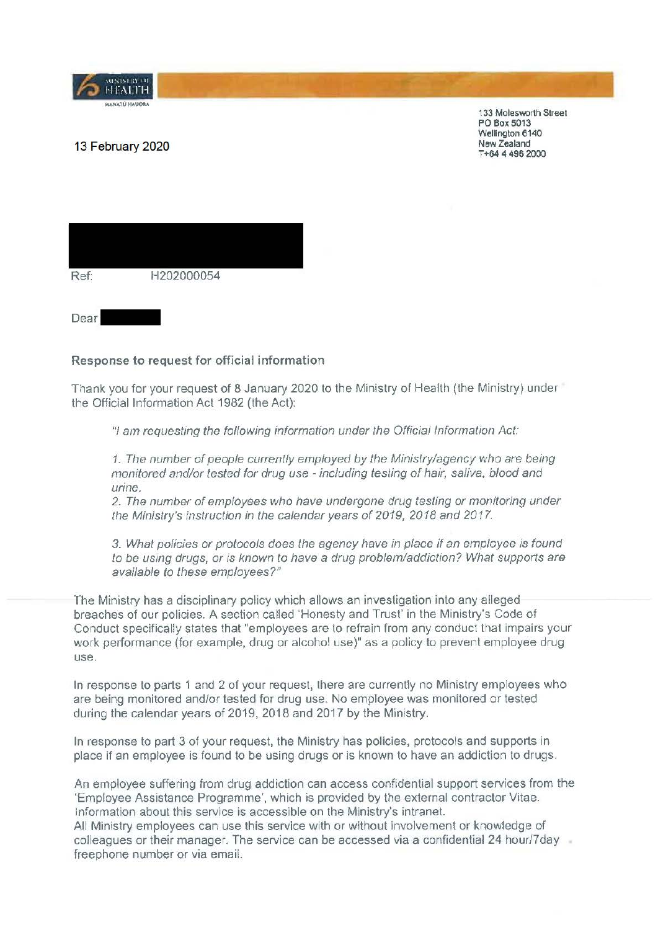

133 Molesworth Street PO Box 5013 Wellington 6140 **New Zealand**  T **+64 4 496** 2000

## 13 February 2020

| Ref: | H202000054 |  |
|------|------------|--|
|      |            |  |

Dear

## Response to request for official information

Thank you for your request of 8 January 2020 to the Ministry of Health (the Ministry) under the Official Information Act 1982 (the Act):

"I am requesting the folfowing information under the Official Information Act:

1. The number of people currently employed by the Ministry/agency who are being monitored and/or tested for drug use - including testing of hair, saliva, blood and urine.

2. The number of employees who have undergone drug testing or monitoring under the Ministry's instruction in the calendar years of 2019, 2018 and 2017.

3. What policies or protocols does the agency have in place if an employee is found to be using drugs, or is known to have a drug problem/addiction? What supports are available to these employees?"

The Ministry has a disciplinary policy which allows an investigation into any alleged breaches of our policies. A section called 'Honesty and Trust' in the Ministry's Code of Conduct specifically states that "employees are to refrain from any conduct that impairs your work performance (for example, drug or alcohol use)" as a policy to prevent employee drug use.

In response to parts 1 and 2 of your request, lhere are currently no Ministry employees who are being monitored and/or tested for drug use. No employee was monitored or tested during the calendar years of 2019, 2018 and 2017 by the Ministry.

In response to part 3 of your request, the Ministry has policies, protocols and supports in place if an employee is found to be using drugs or is known to have an addiction to drugs.

An employee suffering from drug addiction can access confidential support services from the 'Employee Assistance Programme', which is provided by the external contractor Vitae. Information about this service is accessible on the Ministry's intranet. All Ministry employees can use this service with or without involvement or knowledge of colleagues or their manager. The service can be accessed via a confidential 24 hour/7day freephone number or via email.